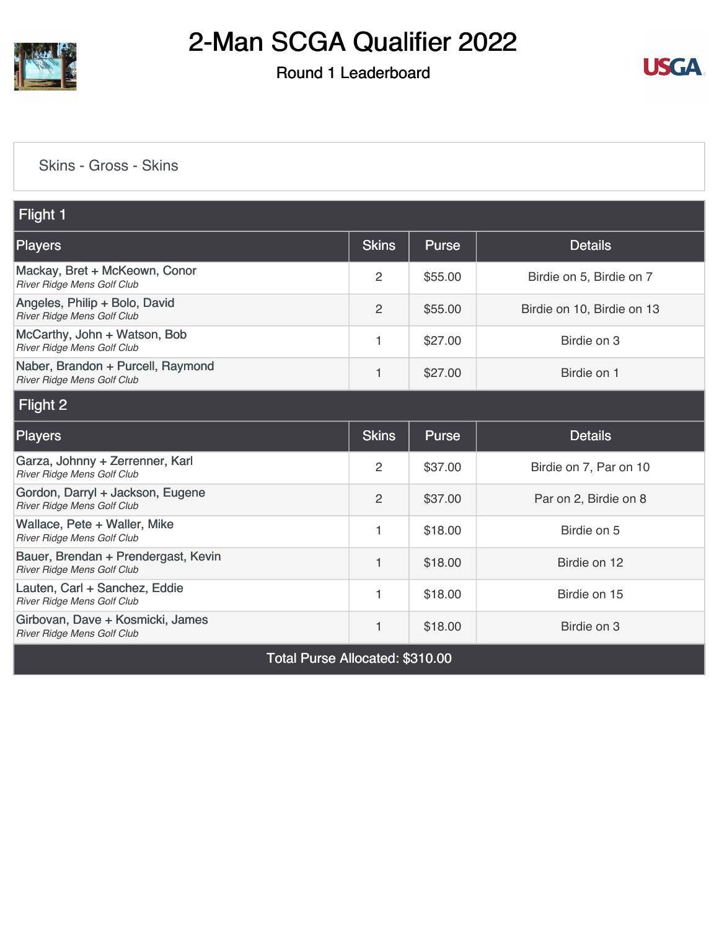

## Round 1 Leaderboard



#### [Skins - Gross - Skins](https://static.golfgenius.com/v2tournaments/8477113887081120381?called_from=&round_index=1)

| Flight 1                                                          |                                |              |                            |  |  |  |
|-------------------------------------------------------------------|--------------------------------|--------------|----------------------------|--|--|--|
| <b>Players</b>                                                    | <b>Skins</b>                   | <b>Purse</b> | <b>Details</b>             |  |  |  |
| Mackay, Bret + McKeown, Conor<br>River Ridge Mens Golf Club       | 2                              | \$55.00      | Birdie on 5, Birdie on 7   |  |  |  |
| Angeles, Philip + Bolo, David<br>River Ridge Mens Golf Club       | $\overline{2}$                 | \$55.00      | Birdie on 10, Birdie on 13 |  |  |  |
| McCarthy, John + Watson, Bob<br>River Ridge Mens Golf Club        | 1                              | \$27.00      | Birdie on 3                |  |  |  |
| Naber, Brandon + Purcell, Raymond<br>River Ridge Mens Golf Club   | 1                              | \$27.00      | Birdie on 1                |  |  |  |
| Flight 2                                                          |                                |              |                            |  |  |  |
| <b>Players</b>                                                    | <b>Skins</b>                   | <b>Purse</b> | <b>Details</b>             |  |  |  |
| Garza, Johnny + Zerrenner, Karl<br>River Ridge Mens Golf Club     | $\overline{2}$                 | \$37.00      | Birdie on 7, Par on 10     |  |  |  |
| Gordon, Darryl + Jackson, Eugene<br>River Ridge Mens Golf Club    | $\overline{2}$                 | \$37.00      | Par on 2, Birdie on 8      |  |  |  |
| Wallace, Pete + Waller, Mike<br>River Ridge Mens Golf Club        | 1                              | \$18.00      | Birdie on 5                |  |  |  |
| Bauer, Brendan + Prendergast, Kevin<br>River Ridge Mens Golf Club | 1                              | \$18.00      | Birdie on 12               |  |  |  |
| Lauten, Carl + Sanchez, Eddie<br>River Ridge Mens Golf Club       | 1                              | \$18.00      | Birdie on 15               |  |  |  |
| Girbovan, Dave + Kosmicki, James<br>River Ridge Mens Golf Club    | 1                              | \$18.00      | Birdie on 3                |  |  |  |
|                                                                   | Tatal Duran Allanatad: 0010 00 |              |                            |  |  |  |

Total Purse Allocated: \$310.00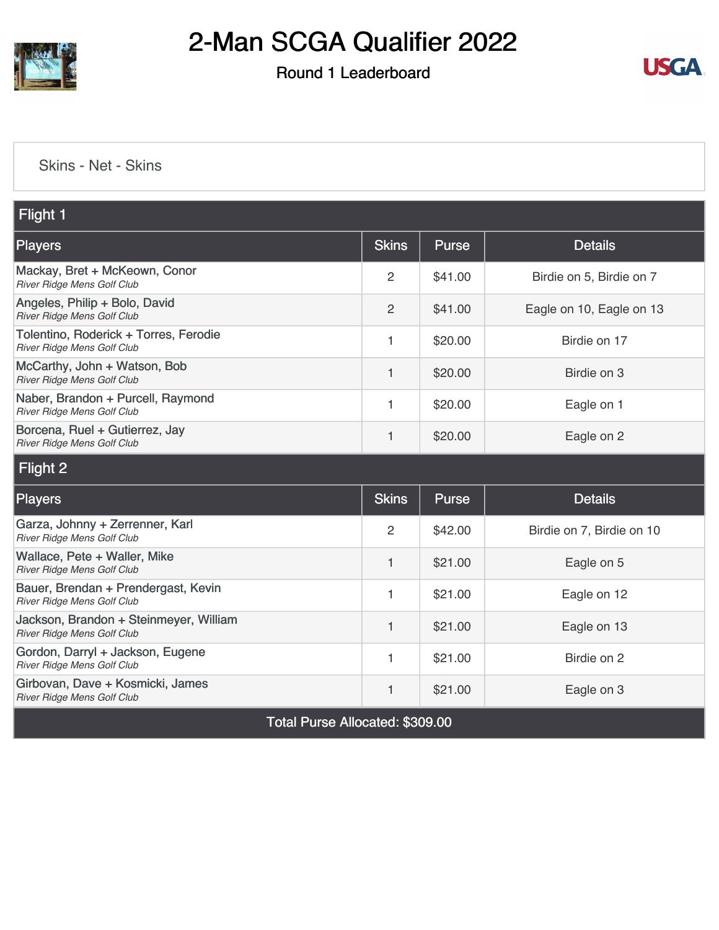

## Round 1 Leaderboard



#### [Skins - Net - Skins](https://static.golfgenius.com/v2tournaments/8477116456746631806?called_from=&round_index=1)

| Flight 1                                                             |              |              |                           |  |  |
|----------------------------------------------------------------------|--------------|--------------|---------------------------|--|--|
| <b>Players</b>                                                       | <b>Skins</b> | Purse        | <b>Details</b>            |  |  |
| Mackay, Bret + McKeown, Conor<br>River Ridge Mens Golf Club          | 2            | \$41.00      | Birdie on 5, Birdie on 7  |  |  |
| Angeles, Philip + Bolo, David<br>River Ridge Mens Golf Club          | 2            | \$41.00      | Eagle on 10, Eagle on 13  |  |  |
| Tolentino, Roderick + Torres, Ferodie<br>River Ridge Mens Golf Club  | 1            | \$20.00      | Birdie on 17              |  |  |
| McCarthy, John + Watson, Bob<br>River Ridge Mens Golf Club           | 1            | \$20.00      | Birdie on 3               |  |  |
| Naber, Brandon + Purcell, Raymond<br>River Ridge Mens Golf Club      | 1            | \$20.00      | Eagle on 1                |  |  |
| Borcena, Ruel + Gutierrez, Jay<br>River Ridge Mens Golf Club         | 1            | \$20.00      | Eagle on 2                |  |  |
| Flight 2                                                             |              |              |                           |  |  |
| <b>Players</b>                                                       | <b>Skins</b> | <b>Purse</b> | <b>Details</b>            |  |  |
| Garza, Johnny + Zerrenner, Karl<br>River Ridge Mens Golf Club        | 2            | \$42.00      | Birdie on 7, Birdie on 10 |  |  |
| Wallace, Pete + Waller, Mike<br>River Ridge Mens Golf Club           | 1            | \$21.00      | Eagle on 5                |  |  |
| Bauer, Brendan + Prendergast, Kevin<br>River Ridge Mens Golf Club    | 1            | \$21.00      | Eagle on 12               |  |  |
| Jackson, Brandon + Steinmeyer, William<br>River Ridge Mens Golf Club | 1            | \$21.00      | Eagle on 13               |  |  |
| Gordon, Darryl + Jackson, Eugene<br>River Ridge Mens Golf Club       | 1            | \$21.00      | Birdie on 2               |  |  |
| Girbovan, Dave + Kosmicki, James<br>River Ridge Mens Golf Club       | 1            | \$21.00      | Eagle on 3                |  |  |
| Total Purse Allocated: \$309.00                                      |              |              |                           |  |  |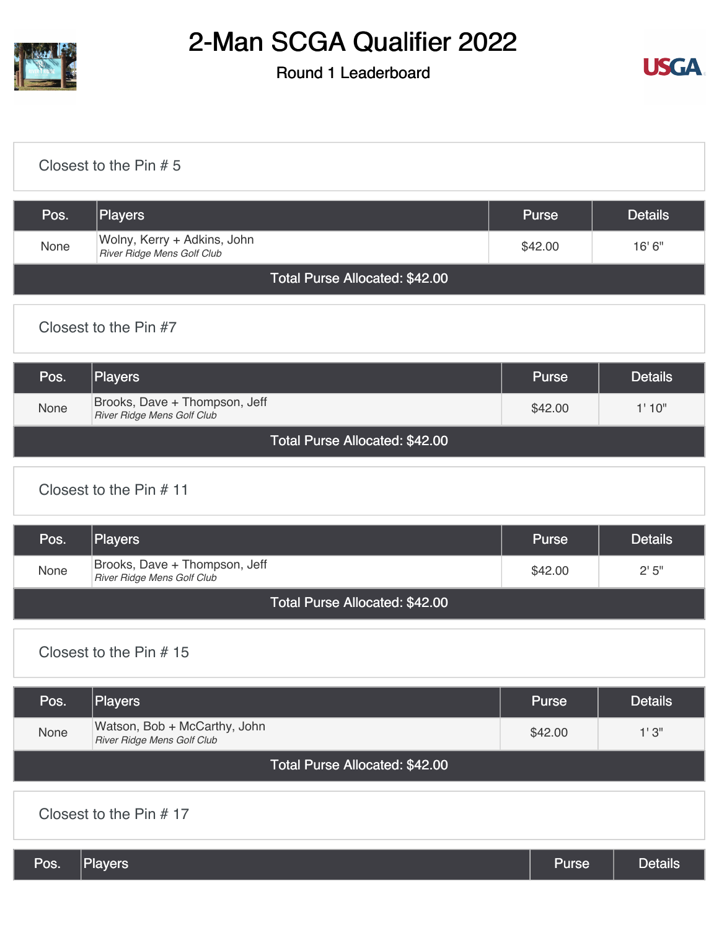

## Round 1 Leaderboard



#### [Closest to the Pin # 5](https://static.golfgenius.com/v2tournaments/8480509371690795775?called_from=&round_index=1)

| Pos.                           | Players                                                   | <b>Purse</b> | <b>Details</b> |
|--------------------------------|-----------------------------------------------------------|--------------|----------------|
| None                           | Wolny, Kerry + Adkins, John<br>River Ridge Mens Golf Club | \$42.00      | 16'6''         |
| Total Purse Allocated: \$42.00 |                                                           |              |                |

### [Closest to the Pin #7](https://static.golfgenius.com/v2tournaments/8480509936277668608?called_from=&round_index=1)

| Pos.                           | <b>Players</b>                                                     | <b>Purse</b> | <b>Details</b> |
|--------------------------------|--------------------------------------------------------------------|--------------|----------------|
| None                           | Brooks, Dave + Thompson, Jeff<br><b>River Ridge Mens Golf Club</b> | \$42.00      | 1'10''         |
| Total Purse Allocated: \$42.00 |                                                                    |              |                |

### [Closest to the Pin # 11](https://static.golfgenius.com/v2tournaments/8480510422783378177?called_from=&round_index=1)

| Pos.                                  | <b>Players</b>                                              | <b>Purse</b> | <b>Details</b> |
|---------------------------------------|-------------------------------------------------------------|--------------|----------------|
| None                                  | Brooks, Dave + Thompson, Jeff<br>River Ridge Mens Golf Club | \$42.00      | 2'5''          |
| <b>Total Purse Allocated: \$42.00</b> |                                                             |              |                |

#### [Closest to the Pin # 15](https://static.golfgenius.com/v2tournaments/8480521019876983556?called_from=&round_index=1)

| Pos.                           | <b>Players</b>                                             | <b>Purse</b> | <b>Details</b> |
|--------------------------------|------------------------------------------------------------|--------------|----------------|
| None                           | Watson, Bob + McCarthy, John<br>River Ridge Mens Golf Club | \$42.00      | 1'3''          |
| Total Purse Allocated: \$42.00 |                                                            |              |                |

#### [Closest to the Pin # 17](https://static.golfgenius.com/v2tournaments/8480521448937505541?called_from=&round_index=1)

| Pos. | Players | Purse | <b>Details</b> |
|------|---------|-------|----------------|
|------|---------|-------|----------------|